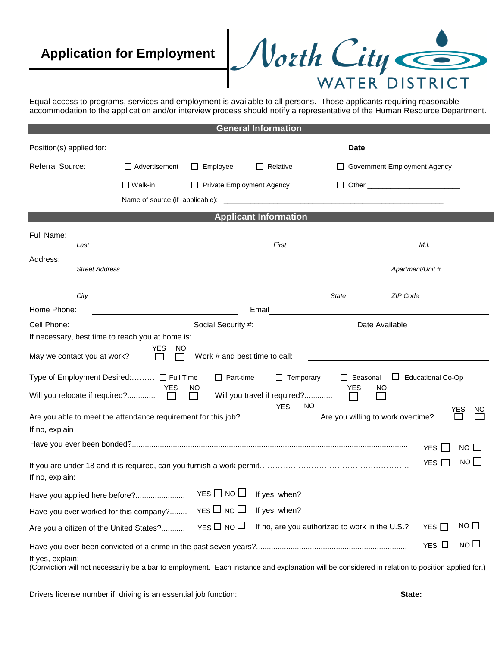# **Application for Employment**



Equal access to programs, services and employment is available to all persons. Those applicants requiring reasonable accommodation to the application and/or interview process should notify a representative of the Human Resource Department.

|                                                                                                                         |                                                                                       |                                                                                                                                           |                               | <b>General Information</b>        |                                                                                                                                                 |                                 |  |  |  |  |  |
|-------------------------------------------------------------------------------------------------------------------------|---------------------------------------------------------------------------------------|-------------------------------------------------------------------------------------------------------------------------------------------|-------------------------------|-----------------------------------|-------------------------------------------------------------------------------------------------------------------------------------------------|---------------------------------|--|--|--|--|--|
| Position(s) applied for:                                                                                                |                                                                                       |                                                                                                                                           |                               |                                   | <b>Date</b>                                                                                                                                     |                                 |  |  |  |  |  |
| Referral Source:                                                                                                        |                                                                                       | $\Box$ Advertisement                                                                                                                      | $\Box$ Employee               | $\Box$ Relative                   |                                                                                                                                                 | Government Employment Agency    |  |  |  |  |  |
|                                                                                                                         |                                                                                       | $\Box$ Walk-in                                                                                                                            | Private Employment Agency     |                                   |                                                                                                                                                 |                                 |  |  |  |  |  |
|                                                                                                                         |                                                                                       |                                                                                                                                           |                               |                                   |                                                                                                                                                 |                                 |  |  |  |  |  |
| <b>Applicant Information</b>                                                                                            |                                                                                       |                                                                                                                                           |                               |                                   |                                                                                                                                                 |                                 |  |  |  |  |  |
| Full Name:                                                                                                              |                                                                                       |                                                                                                                                           |                               |                                   |                                                                                                                                                 |                                 |  |  |  |  |  |
|                                                                                                                         | Last                                                                                  | First                                                                                                                                     |                               |                                   |                                                                                                                                                 | M.I.                            |  |  |  |  |  |
| Address:                                                                                                                | <b>Street Address</b>                                                                 |                                                                                                                                           |                               |                                   |                                                                                                                                                 | Apartment/Unit #                |  |  |  |  |  |
|                                                                                                                         |                                                                                       |                                                                                                                                           |                               |                                   |                                                                                                                                                 |                                 |  |  |  |  |  |
|                                                                                                                         | City                                                                                  |                                                                                                                                           |                               |                                   | <b>State</b>                                                                                                                                    | ZIP Code                        |  |  |  |  |  |
| Home Phone:                                                                                                             |                                                                                       |                                                                                                                                           |                               |                                   |                                                                                                                                                 |                                 |  |  |  |  |  |
| Cell Phone:                                                                                                             |                                                                                       |                                                                                                                                           |                               | Social Security #: Note Available |                                                                                                                                                 |                                 |  |  |  |  |  |
|                                                                                                                         |                                                                                       | If necessary, best time to reach you at home is:                                                                                          |                               |                                   |                                                                                                                                                 |                                 |  |  |  |  |  |
| May we contact you at work?                                                                                             |                                                                                       | YES.<br>NO.<br>$\Box$                                                                                                                     | Work # and best time to call: |                                   |                                                                                                                                                 |                                 |  |  |  |  |  |
|                                                                                                                         |                                                                                       | Type of Employment Desired: □ Full Time                                                                                                   | $\Box$ Part-time              | $\Box$ Temporary                  | □ Seasonal                                                                                                                                      | Educational Co-Op               |  |  |  |  |  |
|                                                                                                                         | YES<br><b>YES</b><br>NO<br>NO.<br>Will you travel if required?<br>П<br>$\mathbb{R}^n$ |                                                                                                                                           |                               |                                   |                                                                                                                                                 |                                 |  |  |  |  |  |
| If no, explain                                                                                                          |                                                                                       | Are you able to meet the attendance requirement for this job?<br><u> 1980 - Johann John Stein, markin fizik eta idazlearia (h. 1980).</u> |                               | <b>YES</b>                        | NO<br>Are you willing to work overtime?                                                                                                         | YES<br>NO.                      |  |  |  |  |  |
|                                                                                                                         |                                                                                       |                                                                                                                                           |                               |                                   |                                                                                                                                                 | $NO \Box$<br><b>YES</b>         |  |  |  |  |  |
| If no, explain:                                                                                                         |                                                                                       |                                                                                                                                           |                               |                                   |                                                                                                                                                 | $NO$ $\Box$<br>YES <sup>I</sup> |  |  |  |  |  |
|                                                                                                                         |                                                                                       | Have you applied here before?                                                                                                             | YES $\Box$ NO $\Box$          | If yes, when?                     | <u> 1989 - Johann Stein, mars an de Francisco Barbara (</u>                                                                                     |                                 |  |  |  |  |  |
|                                                                                                                         |                                                                                       | Have you ever worked for this company?                                                                                                    | $YES \Box NO \Box$            | If yes, when?                     |                                                                                                                                                 |                                 |  |  |  |  |  |
| YES $\square$ NO $\square$<br>If no, are you authorized to work in the U.S.?<br>Are you a citizen of the United States? |                                                                                       |                                                                                                                                           |                               |                                   |                                                                                                                                                 | $NO$ $\Box$<br>YES $\Box$       |  |  |  |  |  |
| If yes, explain:                                                                                                        | NO <sub>1</sub><br>YES $\Box$                                                         |                                                                                                                                           |                               |                                   |                                                                                                                                                 |                                 |  |  |  |  |  |
|                                                                                                                         |                                                                                       |                                                                                                                                           |                               |                                   | (Conviction will not necessarily be a bar to employment. Each instance and explanation will be considered in relation to position applied for.) |                                 |  |  |  |  |  |

Drivers license number if driving is an essential job function: **State:**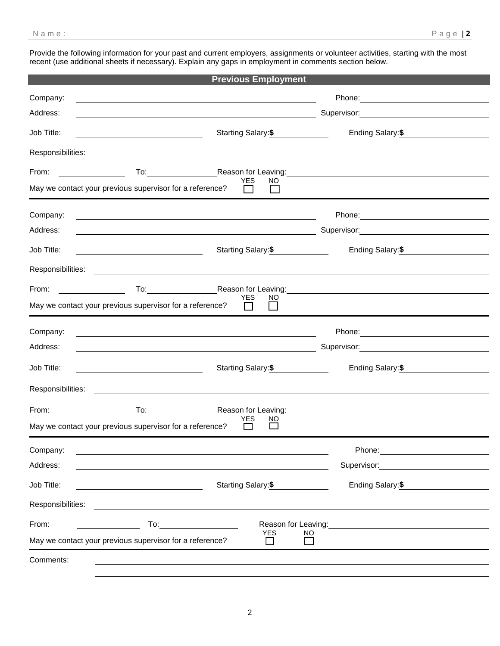Provide the following information for your past and current employers, assignments or volunteer activities, starting with the most recent (use additional sheets if necessary). Explain any gaps in employment in comments section below.

|                                                          |                                                                                                                        | <b>Previous Employment</b>                                                                                                                                                                                                                                 |                                                                                                                                                                                                                                |
|----------------------------------------------------------|------------------------------------------------------------------------------------------------------------------------|------------------------------------------------------------------------------------------------------------------------------------------------------------------------------------------------------------------------------------------------------------|--------------------------------------------------------------------------------------------------------------------------------------------------------------------------------------------------------------------------------|
| Company:                                                 |                                                                                                                        |                                                                                                                                                                                                                                                            | Phone: 2008 2010 2010 2010 2010 2011 2021 2022 2023 2024 2022 2023 2024 2022 2023 2024 2022 2023 2024 2025 20                                                                                                                  |
| Address:                                                 |                                                                                                                        | <u> 1989 - Johann Stoff, deutscher Stoffen und der Stoffen und der Stoffen und der Stoffen und der Stoffen und der</u>                                                                                                                                     |                                                                                                                                                                                                                                |
| Job Title:                                               | <u> 1989 - Johann Stoff, deutscher Stoffen und der Stoffen und der Stoffen und der Stoffen und der Stoffen und der</u> | Starting Salary:\$                                                                                                                                                                                                                                         | Ending Salary: \$                                                                                                                                                                                                              |
|                                                          |                                                                                                                        |                                                                                                                                                                                                                                                            |                                                                                                                                                                                                                                |
| From:                                                    |                                                                                                                        | <b>YES</b><br>NO                                                                                                                                                                                                                                           | To: Reason for Leaving: Nearly Committee Commission Commission Commission Commission Commission Commission Commission                                                                                                          |
| May we contact your previous supervisor for a reference? |                                                                                                                        | $\Box$<br>$\Box$                                                                                                                                                                                                                                           |                                                                                                                                                                                                                                |
| Company:                                                 |                                                                                                                        |                                                                                                                                                                                                                                                            | Phone: Note and the second state of the second state of the second state of the second state of the second state of the second state of the second state of the second state of the second state of the second state of the se |
| Address:                                                 |                                                                                                                        | <u> 1980 - Jan Samuel Barbara, martin da basar a shekara 1980 - An tsara 1980 - An tsara 1980 - An tsara 1980 - A</u>                                                                                                                                      | Supervisor: 2000 Contract Contract Contract Contract Contract Contract Contract Contract Contract Contract Contract Contract Contract Contract Contract Contract Contract Contract Contract Contract Contract Contract Contrac |
| Job Title:                                               |                                                                                                                        | Starting Salary: \$                                                                                                                                                                                                                                        | Ending Salary: \$                                                                                                                                                                                                              |
|                                                          |                                                                                                                        |                                                                                                                                                                                                                                                            |                                                                                                                                                                                                                                |
| From:                                                    |                                                                                                                        | <b>YES</b><br>NO                                                                                                                                                                                                                                           | To: Reason for Leaving: To: Reason for Leaving:                                                                                                                                                                                |
| May we contact your previous supervisor for a reference? |                                                                                                                        | $\Box$<br>$\Box$                                                                                                                                                                                                                                           |                                                                                                                                                                                                                                |
| Company:                                                 |                                                                                                                        |                                                                                                                                                                                                                                                            |                                                                                                                                                                                                                                |
| Address:                                                 |                                                                                                                        |                                                                                                                                                                                                                                                            |                                                                                                                                                                                                                                |
| Job Title:                                               |                                                                                                                        | Starting Salary:\$                                                                                                                                                                                                                                         | Ending Salary: \$                                                                                                                                                                                                              |
|                                                          |                                                                                                                        | Responsibilities: <b>Example 2018 Contract 2018 Contract 2018 Contract 2018 Contract 2018</b>                                                                                                                                                              |                                                                                                                                                                                                                                |
| From:                                                    |                                                                                                                        |                                                                                                                                                                                                                                                            | To: Reason for Leaving: Network and Communication of Leaving: Network and Communication of the Reason for Leaving:                                                                                                             |
| May we contact your previous supervisor for a reference? |                                                                                                                        | YES<br>NO.                                                                                                                                                                                                                                                 |                                                                                                                                                                                                                                |
| Company:                                                 |                                                                                                                        |                                                                                                                                                                                                                                                            |                                                                                                                                                                                                                                |
| Address:                                                 |                                                                                                                        |                                                                                                                                                                                                                                                            |                                                                                                                                                                                                                                |
| Job Title:                                               |                                                                                                                        | Starting Salary:\$                                                                                                                                                                                                                                         | Ending Salary:\$                                                                                                                                                                                                               |
| Responsibilities:                                        |                                                                                                                        |                                                                                                                                                                                                                                                            |                                                                                                                                                                                                                                |
| From:                                                    |                                                                                                                        | Reason for Leaving:<br><b>To:</b> the contract of the contract of the contract of the contract of the contract of the contract of the contract of the contract of the contract of the contract of the contract of the contract of the contract of the cont | <u> 1989 - Jan Samuel Barbara, martin da shekara 1980 - An tsa na shekara 1980 - An tsa na shekara 1980 - An tsa </u>                                                                                                          |
| May we contact your previous supervisor for a reference? |                                                                                                                        | <b>YES</b><br>NΟ                                                                                                                                                                                                                                           |                                                                                                                                                                                                                                |
| Comments:                                                |                                                                                                                        |                                                                                                                                                                                                                                                            |                                                                                                                                                                                                                                |
|                                                          |                                                                                                                        |                                                                                                                                                                                                                                                            |                                                                                                                                                                                                                                |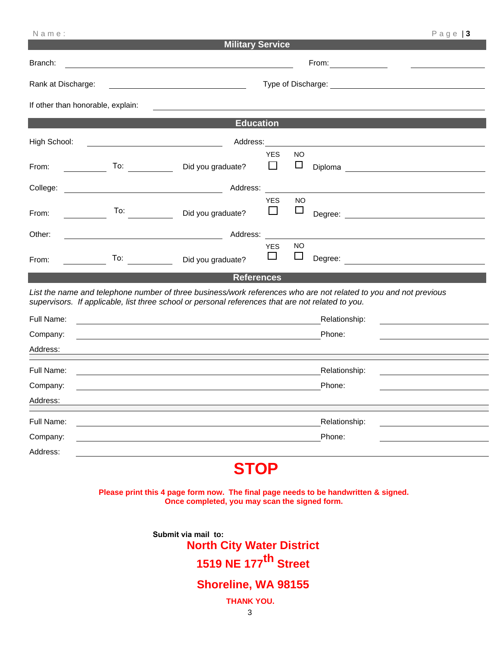| Name:                                                                                                                                       |                                                                                                                                                                                                                                                                                                                                                                                                                      |                                                                                                                                   |                                        |                     | $P$ age   3                                                                                                      |  |
|---------------------------------------------------------------------------------------------------------------------------------------------|----------------------------------------------------------------------------------------------------------------------------------------------------------------------------------------------------------------------------------------------------------------------------------------------------------------------------------------------------------------------------------------------------------------------|-----------------------------------------------------------------------------------------------------------------------------------|----------------------------------------|---------------------|------------------------------------------------------------------------------------------------------------------|--|
|                                                                                                                                             |                                                                                                                                                                                                                                                                                                                                                                                                                      | <b>Military Service</b>                                                                                                           |                                        |                     |                                                                                                                  |  |
| Branch:                                                                                                                                     |                                                                                                                                                                                                                                                                                                                                                                                                                      |                                                                                                                                   |                                        |                     |                                                                                                                  |  |
| Rank at Discharge:<br><u> 1989 - Johann Barn, mars ann an t-Amhain Aonaich an t-Aonaich an t-Aonaich an t-Aonaich an t-Aonaich an t-Aon</u> |                                                                                                                                                                                                                                                                                                                                                                                                                      |                                                                                                                                   |                                        |                     |                                                                                                                  |  |
| If other than honorable, explain:                                                                                                           |                                                                                                                                                                                                                                                                                                                                                                                                                      | <u> 1989 - Johann Stein, marwolaethau a bhaile ann an t-Alban ann an t-Alban ann an t-Alban ann an t-Alban ann an</u>             |                                        |                     |                                                                                                                  |  |
|                                                                                                                                             |                                                                                                                                                                                                                                                                                                                                                                                                                      | <b>Education</b>                                                                                                                  |                                        |                     |                                                                                                                  |  |
| High School:                                                                                                                                |                                                                                                                                                                                                                                                                                                                                                                                                                      | Address:                                                                                                                          |                                        |                     |                                                                                                                  |  |
| From:                                                                                                                                       | $\frac{1}{\sqrt{1-\frac{1}{2}}\sqrt{1-\frac{1}{2}}\sqrt{1-\frac{1}{2}}\sqrt{1-\frac{1}{2}}\sqrt{1-\frac{1}{2}}\sqrt{1-\frac{1}{2}}\sqrt{1-\frac{1}{2}}\sqrt{1-\frac{1}{2}}\sqrt{1-\frac{1}{2}}\sqrt{1-\frac{1}{2}}\sqrt{1-\frac{1}{2}}\sqrt{1-\frac{1}{2}}\sqrt{1-\frac{1}{2}}\sqrt{1-\frac{1}{2}}\sqrt{1-\frac{1}{2}}\sqrt{1-\frac{1}{2}}\sqrt{1-\frac{1}{2}}\sqrt{1-\frac{1}{2}}\sqrt{1-\frac{1}{2}}\sqrt{1-\frac$ | Did you graduate?                                                                                                                 | <b>YES</b><br>П                        | <b>NO</b><br>$\Box$ |                                                                                                                  |  |
| College:                                                                                                                                    |                                                                                                                                                                                                                                                                                                                                                                                                                      | Address:                                                                                                                          |                                        |                     |                                                                                                                  |  |
| From:                                                                                                                                       | To:                                                                                                                                                                                                                                                                                                                                                                                                                  | Did you graduate?                                                                                                                 | <b>YES</b><br>П                        | <b>NO</b><br>$\Box$ |                                                                                                                  |  |
| Other:                                                                                                                                      |                                                                                                                                                                                                                                                                                                                                                                                                                      | Address:<br><u> 1989 - Johann Stoff, deutscher Stoff, der Stoff, der Stoff, der Stoff, der Stoff, der Stoff, der Stoff, der S</u> |                                        |                     |                                                                                                                  |  |
| From:                                                                                                                                       | To:                                                                                                                                                                                                                                                                                                                                                                                                                  | Did you graduate?                                                                                                                 | <b>YES</b><br>$\overline{\phantom{0}}$ | <b>NO</b><br>⊔      |                                                                                                                  |  |
|                                                                                                                                             |                                                                                                                                                                                                                                                                                                                                                                                                                      | <b>References</b>                                                                                                                 |                                        |                     |                                                                                                                  |  |
|                                                                                                                                             |                                                                                                                                                                                                                                                                                                                                                                                                                      | supervisors. If applicable, list three school or personal references that are not related to you.                                 |                                        |                     | List the name and telephone number of three business/work references who are not related to you and not previous |  |
| Full Name:                                                                                                                                  |                                                                                                                                                                                                                                                                                                                                                                                                                      |                                                                                                                                   |                                        |                     | Relationship:                                                                                                    |  |
| Company:                                                                                                                                    |                                                                                                                                                                                                                                                                                                                                                                                                                      | and the control of the control of the control of the control of the control of the control of the control of the                  |                                        |                     | Phone:                                                                                                           |  |
| Address:                                                                                                                                    |                                                                                                                                                                                                                                                                                                                                                                                                                      |                                                                                                                                   |                                        |                     |                                                                                                                  |  |
| Full Name:                                                                                                                                  |                                                                                                                                                                                                                                                                                                                                                                                                                      |                                                                                                                                   |                                        |                     | Relationship:                                                                                                    |  |
| Company:                                                                                                                                    |                                                                                                                                                                                                                                                                                                                                                                                                                      |                                                                                                                                   |                                        |                     | Phone:                                                                                                           |  |
| Address:                                                                                                                                    |                                                                                                                                                                                                                                                                                                                                                                                                                      |                                                                                                                                   |                                        |                     |                                                                                                                  |  |
| Full Name:                                                                                                                                  |                                                                                                                                                                                                                                                                                                                                                                                                                      |                                                                                                                                   |                                        |                     | Relationship:                                                                                                    |  |
| Company:                                                                                                                                    |                                                                                                                                                                                                                                                                                                                                                                                                                      |                                                                                                                                   |                                        |                     | Phone:                                                                                                           |  |
| Address:                                                                                                                                    |                                                                                                                                                                                                                                                                                                                                                                                                                      |                                                                                                                                   |                                        |                     |                                                                                                                  |  |
|                                                                                                                                             |                                                                                                                                                                                                                                                                                                                                                                                                                      |                                                                                                                                   |                                        |                     |                                                                                                                  |  |

## **STOP**

**Please print this 4 page form now. The final page needs to be handwritten & signed. Once completed, you may scan the signed form.** 

> **Submit via mail to: North City Water District 1519 NE 177th Street**

### **Shoreline, WA 98155**

**THANK YOU.**